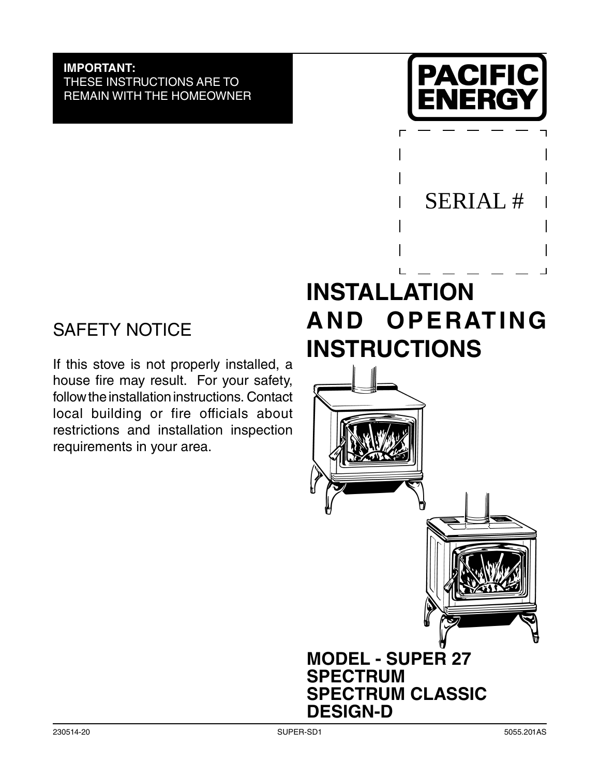### **IMPORTANT:** THESE INSTRUCTIONS ARE TO REMAIN WITH THE HOMEOWNER



SERIAL #

## SAFETY NOTICE

If this stove is not properly installed, a house fire may result. For your safety, follow the installation instructions. Contact local building or fire officials about restrictions and installation inspection requirements in your area.

## **INSTALLATION AND OPERATING INSTRUCTIONS**

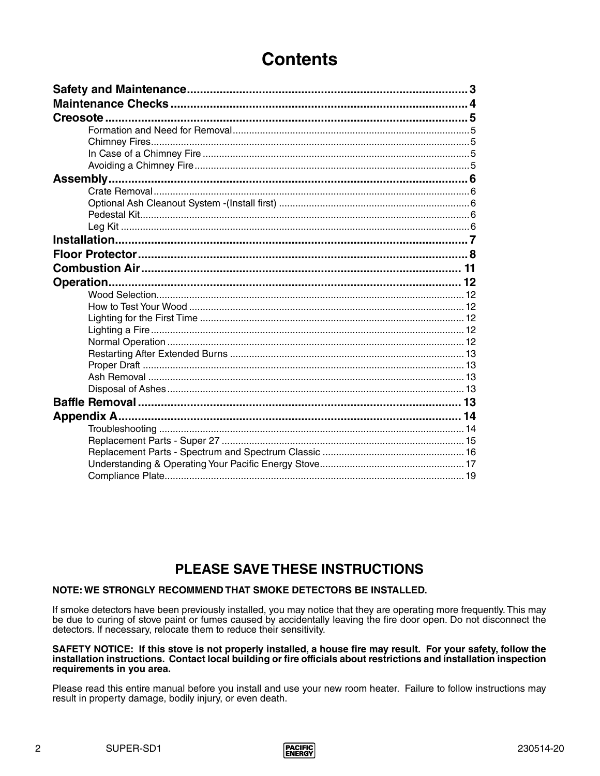## **Contents**

### **PLEASE SAVE THESE INSTRUCTIONS**

### NOTE: WE STRONGLY RECOMMEND THAT SMOKE DETECTORS BE INSTALLED.

If smoke detectors have been previously installed, you may notice that they are operating more frequently. This may<br>be due to curing of stove paint or fumes caused by accidentally leaving the fire door open. Do not disconn detectors. If necessary, relocate them to reduce their sensitivity.

### SAFETY NOTICE: If this stove is not properly installed, a house fire may result. For your safety, follow the installation instructions. Contact local building or fire officials about restrictions and installation inspectio requirements in you area.

Please read this entire manual before you install and use your new room heater. Failure to follow instructions may result in property damage, bodily injury, or even death.

 $\overline{2}$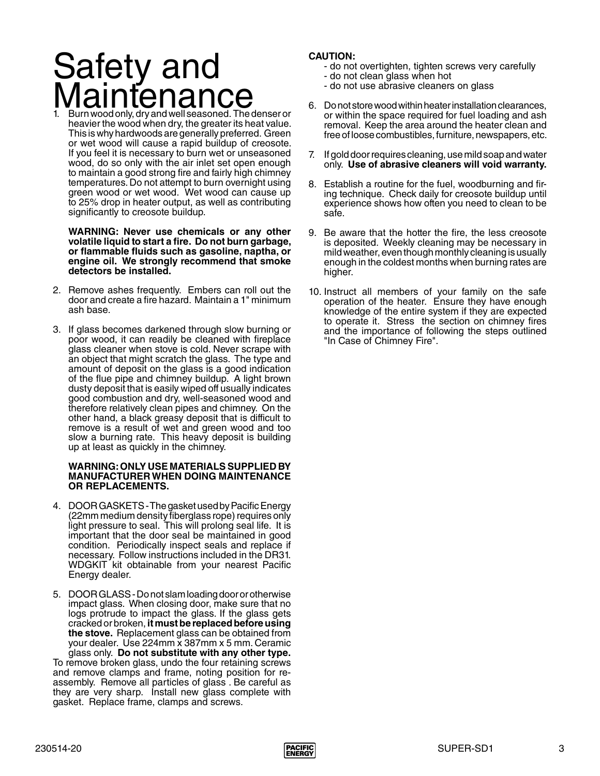# Safety and **Maintenance**

1. Burn wood only, dry and well seasoned. The denser or heavier the wood when dry, the greater its heat value. This is why hardwoods are generally preferred. Green or wet wood will cause a rapid buildup of creosote. If you feel it is necessary to burn wet or unseasoned wood, do so only with the air inlet set open enough to maintain a good strong fire and fairly high chimney temperatures. Do not attempt to burn overnight using green wood or wet wood. Wet wood can cause up to 25% drop in heater output, as well as contributing significantly to creosote buildup.

**WARNING: Never use chemicals or any other**  volatile liquid to start a fire. Do not burn garbage, **or fl ammable fl uids such as gasoline, naptha, or engine oil. We strongly recommend that smoke detectors be installed.**

- 2. Remove ashes frequently. Embers can roll out the door and create a fire hazard. Maintain a 1" minimum ash base.
- 3. If glass becomes darkened through slow burning or poor wood, it can readily be cleaned with fireplace glass cleaner when stove is cold. Never scrape with an object that might scratch the glass. The type and amount of deposit on the glass is a good indication of the flue pipe and chimney buildup. A light brown dusty deposit that is easily wiped off usually indicates good combustion and dry, well-seasoned wood and therefore relatively clean pipes and chimney. On the other hand, a black greasy deposit that is difficult to remove is a result of wet and green wood and too slow a burning rate. This heavy deposit is building up at least as quickly in the chimney.

### **WARNING: ONLY USE MATERIALS SUPPLIED BY MANUFACTURER WHEN DOING MAINTENANCE OR REPLACEMENTS.**

- 4. DOOR GASKETS The gasket used by Pacific Energy (22mm medium density fiberglass rope) requires only light pressure to seal. This will prolong seal life. It is important that the door seal be maintained in good condition. Periodically inspect seals and replace if necessary. Follow instructions included in the DR31. WDGKIT kit obtainable from your nearest Pacific Energy dealer.
- 5. DOOR GLASS Do not slam loading door or otherwise impact glass. When closing door, make sure that no logs protrude to impact the glass. If the glass gets cracked or broken, **it must be replaced before using the stove.** Replacement glass can be obtained from your dealer. Use 224mm x 387mm x 5 mm. Ceramic glass only. **Do not substitute with any other type.** To remove broken glass, undo the four retaining screws and remove clamps and frame, noting position for reassembly. Remove all particles of glass . Be careful as they are very sharp. Install new glass complete with gasket. Replace frame, clamps and screws.

### **CAUTION:**

- do not overtighten, tighten screws very carefully
- do not clean glass when hot
- do not use abrasive cleaners on glass
- 6. Do not store wood within heater installation clearances, or within the space required for fuel loading and ash removal. Keep the area around the heater clean and free of loose combustibles, furniture, newspapers, etc.
- 7. If gold door requires cleaning, use mild soap and water only. **Use of abrasive cleaners will void warranty.**
- 8. Establish a routine for the fuel, woodburning and firing technique. Check daily for creosote buildup until experience shows how often you need to clean to be safe.
- 9. Be aware that the hotter the fire, the less creosote is deposited. Weekly cleaning may be necessary in mild weather, even though monthly cleaning is usually enough in the coldest months when burning rates are higher.
- 10. Instruct all members of your family on the safe operation of the heater. Ensure they have enough knowledge of the entire system if they are expected to operate it. Stress the section on chimney fires and the importance of following the steps outlined "In Case of Chimney Fire".

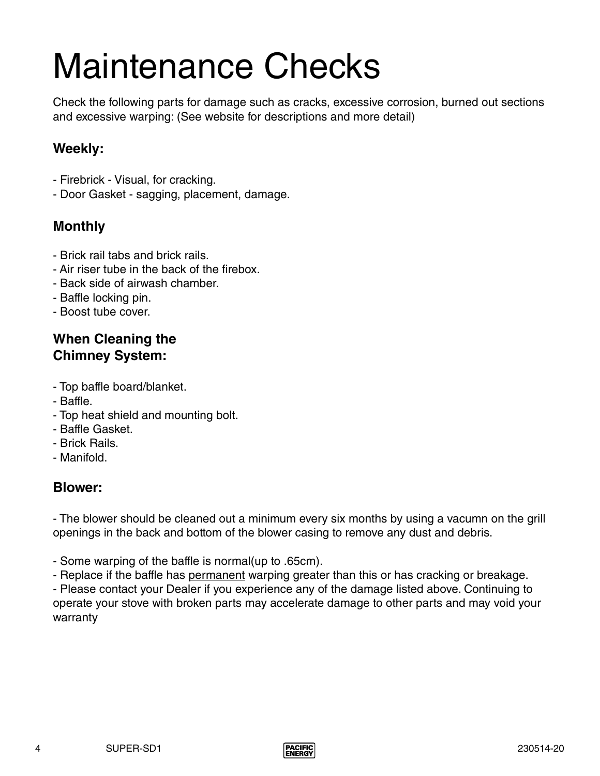# Maintenance Checks

Check the following parts for damage such as cracks, excessive corrosion, burned out sections and excessive warping: (See website for descriptions and more detail)

## **Weekly:**

- Firebrick Visual, for cracking.
- Door Gasket sagging, placement, damage.

### **Monthly**

- Brick rail tabs and brick rails.
- Air riser tube in the back of the firebox.
- Back side of airwash chamber.
- Baffle locking pin.
- Boost tube cover.

### **When Cleaning the Chimney System:**

- Top baffle board/blanket.
- Baffle.
- Top heat shield and mounting bolt.
- Baffle Gasket.
- Brick Rails.
- Manifold.

### **Blower:**

- The blower should be cleaned out a minimum every six months by using a vacumn on the grill openings in the back and bottom of the blower casing to remove any dust and debris.

- Some warping of the baffle is normal(up to .65cm).
- Replace if the baffle has permanent warping greater than this or has cracking or breakage.

- Please contact your Dealer if you experience any of the damage listed above. Continuing to operate your stove with broken parts may accelerate damage to other parts and may void your warranty

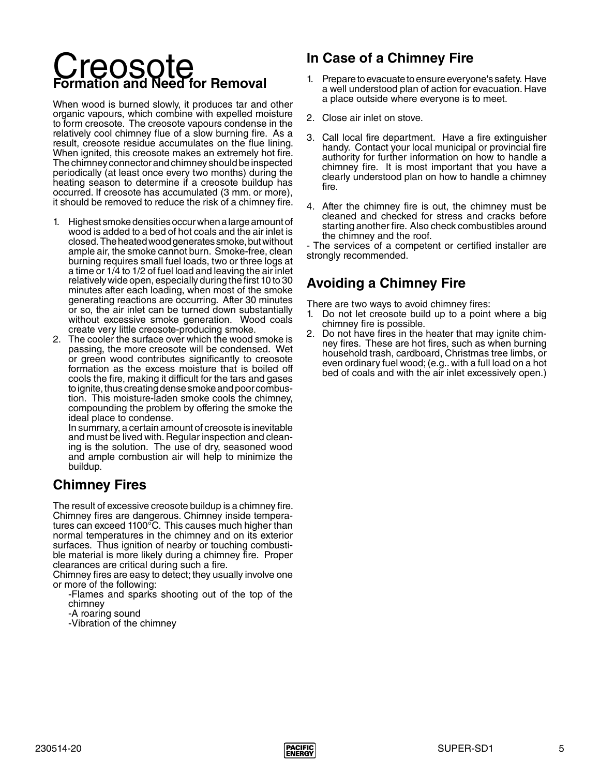# Creosote **Formation and Need for Removal**

When wood is burned slowly, it produces tar and other organic vapours, which combine with expelled moisture to form creosote. The creosote vapours condense in the relatively cool chimney flue of a slow burning fire. As a result, creosote residue accumulates on the flue lining. When ignited, this creosote makes an extremely hot fire. The chimney connector and chimney should be inspected periodically (at least once every two months) during the heating season to determine if a creosote buildup has occurred. If creosote has accumulated (3 mm. or more), it should be removed to reduce the risk of a chimney fire.

- 1. Highest smoke densities occur when a large amount of wood is added to a bed of hot coals and the air inlet is closed. The heated wood generates smoke, but without ample air, the smoke cannot burn. Smoke-free, clean burning requires small fuel loads, two or three logs at a time or 1/4 to 1/2 of fuel load and leaving the air inlet relatively wide open, especially during the first 10 to 30 minutes after each loading, when most of the smoke generating reactions are occurring. After 30 minutes or so, the air inlet can be turned down substantially without excessive smoke generation. Wood coals create very little creosote-producing smoke.
- 2. The cooler the surface over which the wood smoke is passing, the more creosote will be condensed. Wet or green wood contributes significantly to creosote formation as the excess moisture that is boiled off cools the fire, making it difficult for the tars and gases to ignite, thus creating dense smoke and poor combustion. This moisture-laden smoke cools the chimney, compounding the problem by offering the smoke the ideal place to condense.

 In summary, a certain amount of creosote is inevitable and must be lived with. Regular inspection and cleaning is the solution. The use of dry, seasoned wood and ample combustion air will help to minimize the buildup.

## **Chimney Fires**

The result of excessive creosote buildup is a chimney fire. Chimney fires are dangerous. Chimney inside temperatures can exceed 1100°C. This causes much higher than normal temperatures in the chimney and on its exterior surfaces. Thus ignition of nearby or touching combustible material is more likely during a chimney fire. Proper clearances are critical during such a fire.

Chimney fires are easy to detect; they usually involve one or more of the following:

 -Flames and sparks shooting out of the top of the chimney

-A roaring sound

-Vibration of the chimney

## **In Case of a Chimney Fire**

- 1. Prepare to evacuate to ensure everyone's safety. Have a well understood plan of action for evacuation. Have a place outside where everyone is to meet.
- 2. Close air inlet on stove.
- 3. Call local fire department. Have a fire extinguisher handy. Contact your local municipal or provincial fire authority for further information on how to handle a chimney fire. It is most important that you have a clearly understood plan on how to handle a chimney fire.
- 4. After the chimney fire is out, the chimney must be cleaned and checked for stress and cracks before starting another fire. Also check combustibles around the chimney and the roof.

- The services of a competent or certified installer are strongly recommended.

### **Avoiding a Chimney Fire**

There are two ways to avoid chimney fires:

- 1. Do not let creosote build up to a point where a big chimney fire is possible.
- 2. Do not have fires in the heater that may ignite chimney fires. These are hot fires, such as when burning household trash, cardboard, Christmas tree limbs, or even ordinary fuel wood; (e.g.. with a full load on a hot bed of coals and with the air inlet excessively open.)

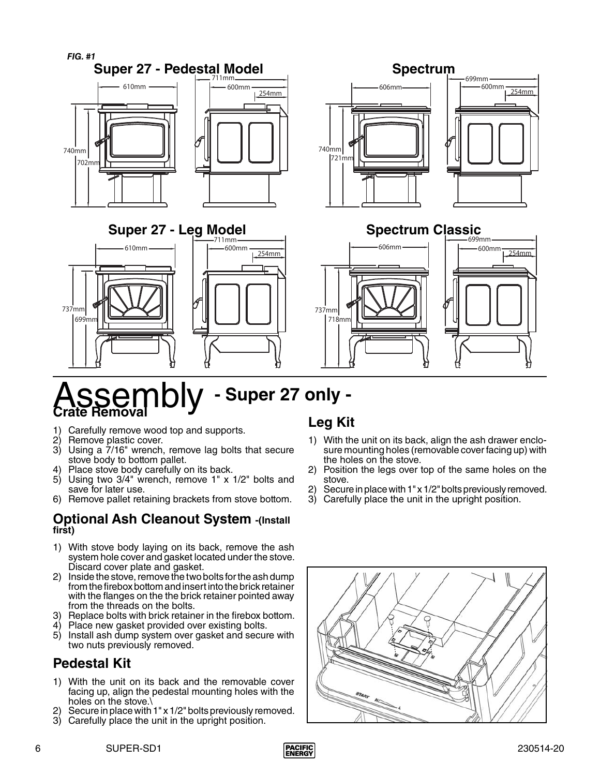







## **- Super 27 only -Crate Removal**

- 1) Carefully remove wood top and supports.
- 2) Remove plastic cover.<br>3) Using a 7/16" wrench.
- Using a 7/16" wrench, remove lag bolts that secure stove body to bottom pallet.
- 4) Place stove body carefully on its back.
- 5) Using two 3/4" wrench, remove 1" x 1/2" bolts and save for later use.
- 6) Remove pallet retaining brackets from stove bottom.

### **Optional Ash Cleanout System -(Install fi rst)**

- 1) With stove body laying on its back, remove the ash system hole cover and gasket located under the stove. Discard cover plate and gasket.
- 2) Inside the stove, remove the two bolts for the ash dump from the firebox bottom and insert into the brick retainer with the flanges on the the brick retainer pointed away from the threads on the bolts.
- 3) Replace bolts with brick retainer in the firebox bottom.<br>4) Place new gasket provided over existing bolts.
- 4) Place new gasket provided over existing bolts.<br>5) Install ash dump system over gasket and secur
- Install ash dump system over gasket and secure with two nuts previously removed.

### **Pedestal Kit**

- 1) With the unit on its back and the removable cover facing up, align the pedestal mounting holes with the holes on the stove.\
- Secure in place with 1" x 1/2" bolts previously removed.
- 3) Carefully place the unit in the upright position.

### **Leg Kit**

- 1) With the unit on its back, align the ash drawer enclosure mounting holes (removable cover facing up) with the holes on the stove.
- 2) Position the legs over top of the same holes on the stove.
- Secure in place with 1" x 1/2" bolts previously removed.
- 3) Carefully place the unit in the upright position.



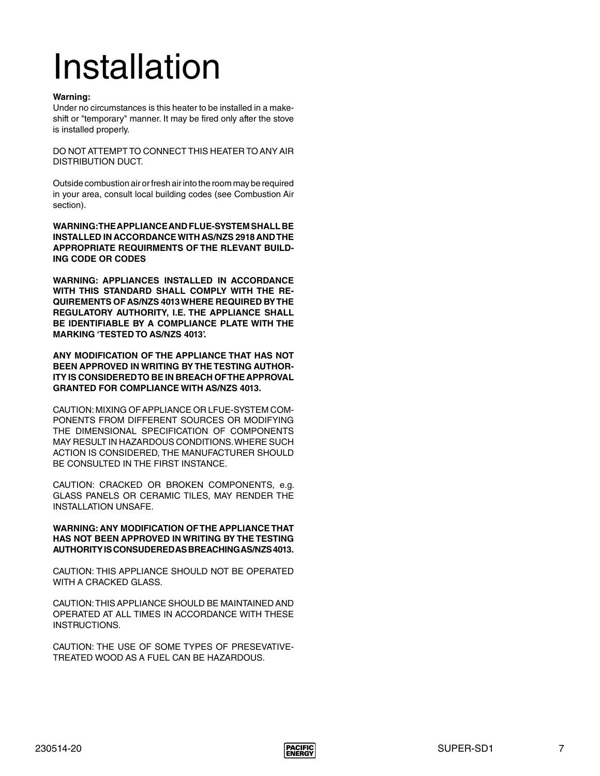# Installation

### **Warning:**

Under no circumstances is this heater to be installed in a makeshift or "temporary" manner. It may be fired only after the stove is installed properly.

DO NOT ATTEMPT TO CONNECT THIS HEATER TO ANY AIR DISTRIBUTION DUCT.

Outside combustion air or fresh air into the room may be required in your area, consult local building codes (see Combustion Air section).

**WARNING: THE APPLIANCE AND FLUE-SYSTEM SHALL BE INSTALLED IN ACCORDANCE WITH AS/NZS 2918 AND THE APPROPRIATE REQUIRMENTS OF THE RLEVANT BUILD-ING CODE OR CODES**

**WARNING: APPLIANCES INSTALLED IN ACCORDANCE WITH THIS STANDARD SHALL COMPLY WITH THE RE-QUIREMENTS OF AS/NZS 4013 WHERE REQUIRED BY THE REGULATORY AUTHORITY, I.E. THE APPLIANCE SHALL BE IDENTIFIABLE BY A COMPLIANCE PLATE WITH THE MARKING 'TESTED TO AS/NZS 4013'.**

**ANY MODIFICATION OF THE APPLIANCE THAT HAS NOT BEEN APPROVED IN WRITING BY THE TESTING AUTHOR-ITY IS CONSIDERED TO BE IN BREACH OF THE APPROVAL GRANTED FOR COMPLIANCE WITH AS/NZS 4013.**

CAUTION: MIXING OF APPLIANCE OR LFUE-SYSTEM COM-PONENTS FROM DIFFERENT SOURCES OR MODIFYING THE DIMENSIONAL SPECIFICATION OF COMPONENTS MAY RESULT IN HAZARDOUS CONDITIONS. WHERE SUCH ACTION IS CONSIDERED, THE MANUFACTURER SHOULD BE CONSULTED IN THE FIRST INSTANCE.

CAUTION: CRACKED OR BROKEN COMPONENTS, e.g. GLASS PANELS OR CERAMIC TILES, MAY RENDER THE INSTALLATION UNSAFE.

**WARNING: ANY MODIFICATION OF THE APPLIANCE THAT HAS NOT BEEN APPROVED IN WRITING BY THE TESTING AUTHORITY IS CONSUDERED AS BREACHING AS/NZS 4013.**

CAUTION: THIS APPLIANCE SHOULD NOT BE OPERATED WITH A CRACKED GLASS.

CAUTION: THIS APPLIANCE SHOULD BE MAINTAINED AND OPERATED AT ALL TIMES IN ACCORDANCE WITH THESE INSTRUCTIONS.

CAUTION: THE USE OF SOME TYPES OF PRESEVATIVE-TREATED WOOD AS A FUEL CAN BE HAZARDOUS.

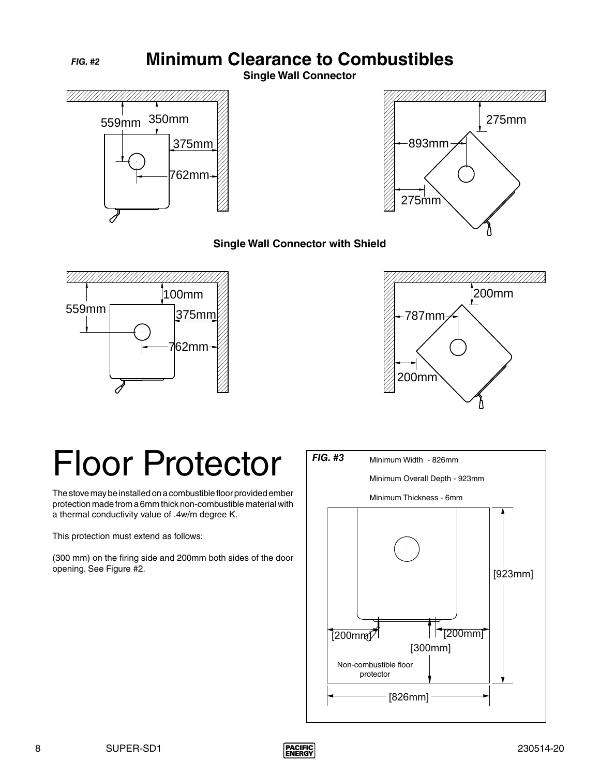## *FIG. #2* **Minimum Clearance to Combustibles**

**Single Wall Connector**





### **Single Wall Connector with Shield**





# Floor Protector **FIG. #3**

The stove may be installed on a combustible floor provided ember protection made from a 6mm thick non-combustible material with a thermal conductivity value of .4w/m degree K.

This protection must extend as follows:

(300 mm) on the firing side and 200mm both sides of the door opening. See Figure #2.



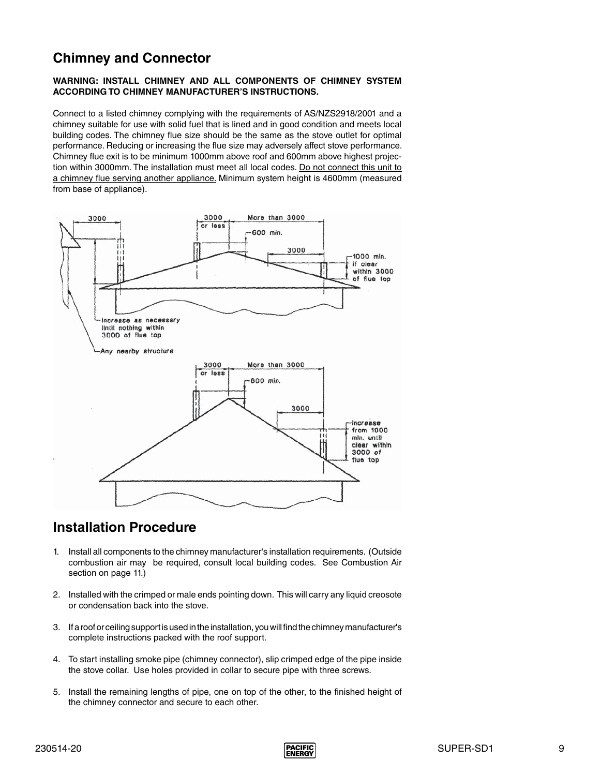### **Chimney and Connector**

### **WARNING: INSTALL CHIMNEY AND ALL COMPONENTS OF CHIMNEY SYSTEM ACCORDING TO CHIMNEY MANUFACTURER'S INSTRUCTIONS.**

Connect to a listed chimney complying with the requirements of AS/NZS2918/2001 and a chimney suitable for use with solid fuel that is lined and in good condition and meets local building codes. The chimney flue size should be the same as the stove outlet for optimal performance. Reducing or increasing the flue size may adversely affect stove performance. Chimney flue exit is to be minimum 1000mm above roof and 600mm above highest projection within 3000mm. The installation must meet all local codes. Do not connect this unit to a chimney flue serving another appliance. Minimum system height is 4600mm (measured from base of appliance).



### **Installation Procedure**

- 1. Install all components to the chimney manufacturer's installation requirements. (Outside combustion air may be required, consult local building codes. See Combustion Air section on page 11.)
- 2. Installed with the crimped or male ends pointing down. This will carry any liquid creosote or condensation back into the stove.
- 3. If a roof or ceiling support is used in the installation, you will find the chimney manufacturer's complete instructions packed with the roof support.
- 4. To start installing smoke pipe (chimney connector), slip crimped edge of the pipe inside the stove collar. Use holes provided in collar to secure pipe with three screws.
- 5. Install the remaining lengths of pipe, one on top of the other, to the finished height of the chimney connector and secure to each other.

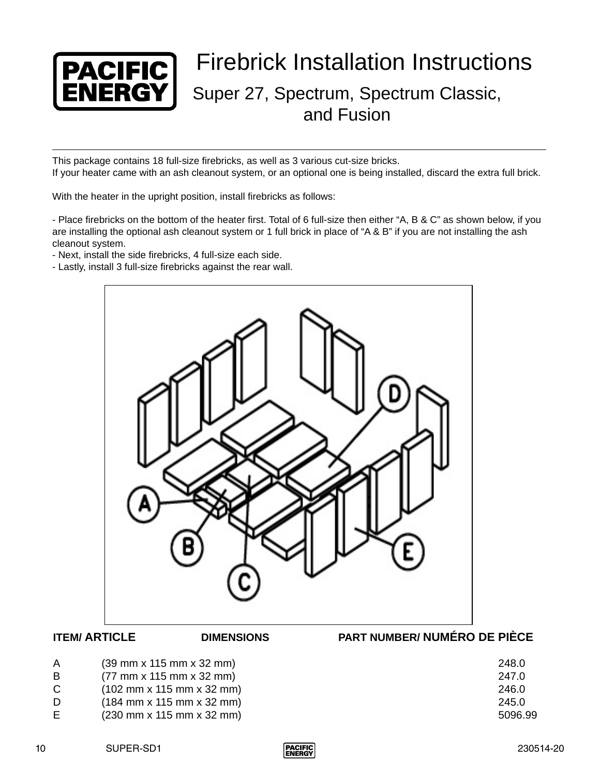

## Super 27, Spectrum, Spectrum Classic, and Fusion Firebrick Installation Instructions

This package contains 18 full-size firebricks, as well as 3 various cut-size bricks. If your heater came with an ash cleanout system, or an optional one is being installed, discard the extra full brick.

With the heater in the upright position, install firebricks as follows:

- Place firebricks on the bottom of the heater first. Total of 6 full-size then either "A, B & C" as shown below, if you are installing the optional ash cleanout system or 1 full brick in place of "A & B" if you are not installing the ash cleanout system.

- Next, install the side firebricks, 4 full-size each side.

- Lastly, install 3 full-size firebricks against the rear wall.



### **ITEM/ ARTICLE DIMENSIONS PART NUMBER/ NUMÉRO DE PIÈCE**

- A (39 mm x 115 mm x 32 mm) 248.0
- B (77 mm x 115 mm x 32 mm) 247.0
- C (102 mm x 115 mm x 32 mm) 246.0
- D (184 mm x 115 mm x 32 mm) 245.0
- E (230 mm x 115 mm x 32 mm) 5096.99
- 

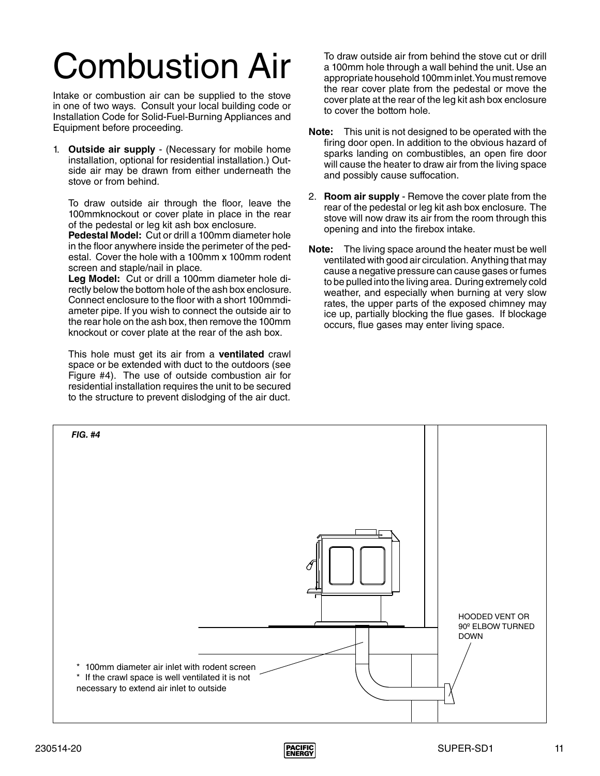# Combustion Air

Intake or combustion air can be supplied to the stove in one of two ways. Consult your local building code or Installation Code for Solid-Fuel-Burning Appliances and Equipment before proceeding.

1. **Outside air supply** - (Necessary for mobile home installation, optional for residential installation.) Outside air may be drawn from either underneath the stove or from behind.

To draw outside air through the floor, leave the 100mmknockout or cover plate in place in the rear of the pedestal or leg kit ash box enclosure.

 **Pedestal Model:** Cut or drill a 100mm diameter hole in the floor anywhere inside the perimeter of the pedestal. Cover the hole with a 100mm x 100mm rodent screen and staple/nail in place.

 **Leg Model:** Cut or drill a 100mm diameter hole directly below the bottom hole of the ash box enclosure. Connect enclosure to the floor with a short 100mmdiameter pipe. If you wish to connect the outside air to the rear hole on the ash box, then remove the 100mm knockout or cover plate at the rear of the ash box.

 This hole must get its air from a **ventilated** crawl space or be extended with duct to the outdoors (see Figure #4). The use of outside combustion air for residential installation requires the unit to be secured to the structure to prevent dislodging of the air duct.

 To draw outside air from behind the stove cut or drill a 100mm hole through a wall behind the unit. Use an appropriate household 100mm inlet. You must remove the rear cover plate from the pedestal or move the cover plate at the rear of the leg kit ash box enclosure to cover the bottom hole.

- **Note:** This unit is not designed to be operated with the firing door open. In addition to the obvious hazard of sparks landing on combustibles, an open fire door will cause the heater to draw air from the living space and possibly cause suffocation.
- 2. **Room air supply**  Remove the cover plate from the rear of the pedestal or leg kit ash box enclosure. The stove will now draw its air from the room through this opening and into the firebox intake.
- **Note:** The living space around the heater must be well ventilated with good air circulation. Anything that may cause a negative pressure can cause gases or fumes to be pulled into the living area. During extremely cold weather, and especially when burning at very slow rates, the upper parts of the exposed chimney may ice up, partially blocking the flue gases. If blockage occurs, flue gases may enter living space.



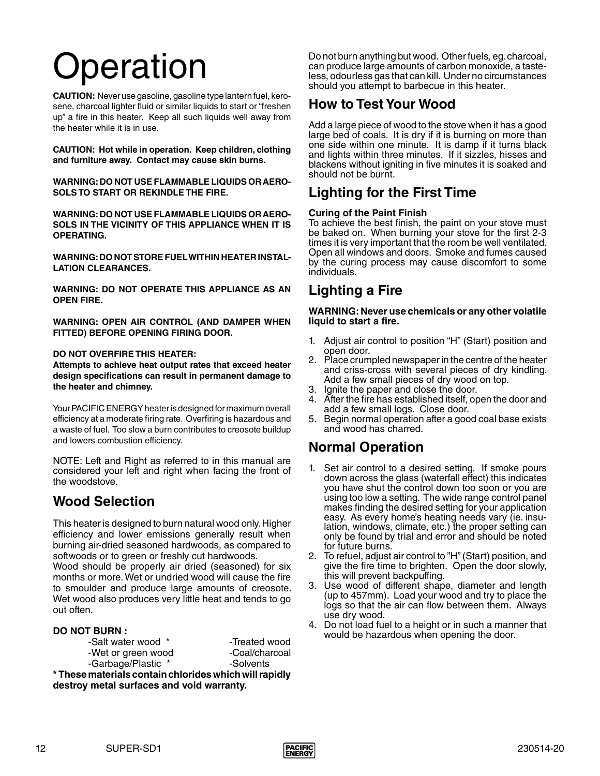# Operation

**CAUTION:** Never use gasoline, gasoline type lantern fuel, kerosene, charcoal lighter fluid or similar liquids to start or "freshen up" a fire in this heater. Keep all such liquids well away from the heater while it is in use.

**CAUTION: Hot while in operation. Keep children, clothing and furniture away. Contact may cause skin burns.**

**WARNING: DO NOT USE FLAMMABLE LIQUIDS OR AERO-SOLS TO START OR REKINDLE THE FIRE.**

**WARNING: DO NOT USE FLAMMABLE LIQUIDS OR AERO-SOLS IN THE VICINITY OF THIS APPLIANCE WHEN IT IS OPERATING.**

**WARNING: DO NOT STORE FUEL WITHIN HEATER INSTAL-LATION CLEARANCES.**

**WARNING: DO NOT OPERATE THIS APPLIANCE AS AN OPEN FIRE.**

**WARNING: OPEN AIR CONTROL (AND DAMPER WHEN FITTED) BEFORE OPENING FIRING DOOR.**

### **DO NOT OVERFIRE THIS HEATER:**

**Attempts to achieve heat output rates that exceed heater**  design specifications can result in permanent damage to **the heater and chimney.**

Your PACIFIC ENERGY heater is designed for maximum overall efficiency at a moderate firing rate. Overfiring is hazardous and a waste of fuel. Too slow a burn contributes to creosote buildup and lowers combustion efficiency.

NOTE: Left and Right as referred to in this manual are considered your left and right when facing the front of the woodstove.

### **Wood Selection**

This heater is designed to burn natural wood only. Higher efficiency and lower emissions generally result when burning air-dried seasoned hardwoods, as compared to softwoods or to green or freshly cut hardwoods. Wood should be properly air dried (seasoned) for six months or more. Wet or undried wood will cause the fire to smoulder and produce large amounts of creosote. Wet wood also produces very little heat and tends to go out often.

### **DO NOT BURN :**

| -Salt water wood *                                     | -Treated wood  |
|--------------------------------------------------------|----------------|
| -Wet or green wood                                     | -Coal/charcoal |
| -Garbage/Plastic *                                     | -Solvents      |
| * These materials contain chlorides which will rapidly |                |

**destroy metal surfaces and void warranty.**

Do not burn anything but wood. Other fuels, eg. charcoal, can produce large amounts of carbon monoxide, a tasteless, odourless gas that can kill. Under no circumstances should you attempt to barbecue in this heater.

### **How to Test Your Wood**

Add a large piece of wood to the stove when it has a good large bed of coals. It is dry if it is burning on more than one side within one minute. It is damp if it turns black and lights within three minutes. If it sizzles, hisses and blackens without igniting in five minutes it is soaked and should not be burnt.

### **Lighting for the First Time**

### **Curing of the Paint Finish**

To achieve the best finish, the paint on your stove must be baked on. When burning your stove for the first 2-3 times it is very important that the room be well ventilated. Open all windows and doors. Smoke and fumes caused by the curing process may cause discomfort to some individuals.

### **Lighting a Fire**

### **WARNING: Never use chemicals or any other volatile**  liquid to start a fire.

- 1. Adjust air control to position "H" (Start) position and open door.
- 2. Place crumpled newspaper in the centre of the heater and criss-cross with several pieces of dry kindling. Add a few small pieces of dry wood on top.
- 3. Ignite the paper and close the door.
- 4. After the fire has established itself, open the door and add a few small logs. Close door.
- 5. Begin normal operation after a good coal base exists and wood has charred.

### **Normal Operation**

- 1. Set air control to a desired setting. If smoke pours down across the glass (waterfall effect) this indicates you have shut the control down too soon or you are using too low a setting. The wide range control panel makes finding the desired setting for your application easy. As every home's heating needs vary (ie. insulation, windows, climate, etc.) the proper setting can only be found by trial and error and should be noted for future burns.
- 2. To refuel, adjust air control to "H" (Start) position, and give the fire time to brighten. Open the door slowly, this will prevent backpuffing.
- 3. Use wood of different shape, diameter and length (up to 457mm). Load your wood and try to place the logs so that the air can flow between them. Always use dry wood.
- 4. Do not load fuel to a height or in such a manner that would be hazardous when opening the door.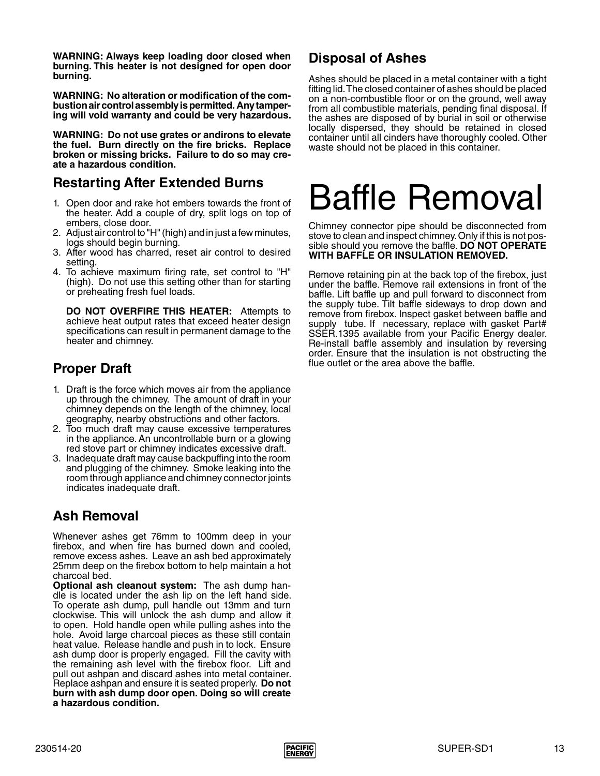**WARNING: Always keep loading door closed when burning. This heater is not designed for open door burning.**

WARNING: No alteration or modification of the com**bustion air control assembly is permitted. Any tampering will void warranty and could be very hazardous.**

**WARNING: Do not use grates or andirons to elevate**  the fuel. Burn directly on the fire bricks. Replace **broken or missing bricks. Failure to do so may create a hazardous condition.**

### **Restarting After Extended Burns**

- 1. Open door and rake hot embers towards the front of the heater. Add a couple of dry, split logs on top of embers, close door.
- 2. Adjust air control to "H" (high) and in just a few minutes, logs should begin burning.
- 3. After wood has charred, reset air control to desired setting.
- 4. To achieve maximum firing rate, set control to "H" (high). Do not use this setting other than for starting or preheating fresh fuel loads.

**DO NOT OVERFIRE THIS HEATER:** Attempts to achieve heat output rates that exceed heater design specifications can result in permanent damage to the heater and chimney.

### **Proper Draft**

- 1. Draft is the force which moves air from the appliance up through the chimney. The amount of draft in your chimney depends on the length of the chimney, local geography, nearby obstructions and other factors.
- 2. Too much draft may cause excessive temperatures in the appliance. An uncontrollable burn or a glowing red stove part or chimney indicates excessive draft.
- 3. Inadequate draft may cause backpuffing into the room and plugging of the chimney. Smoke leaking into the room through appliance and chimney connector joints indicates inadequate draft.

### **Ash Removal**

Whenever ashes get 76mm to 100mm deep in your firebox, and when fire has burned down and cooled, remove excess ashes. Leave an ash bed approximately 25mm deep on the firebox bottom to help maintain a hot charcoal bed.

**Optional ash cleanout system:** The ash dump handle is located under the ash lip on the left hand side. To operate ash dump, pull handle out 13mm and turn clockwise. This will unlock the ash dump and allow it to open. Hold handle open while pulling ashes into the hole. Avoid large charcoal pieces as these still contain heat value. Release handle and push in to lock. Ensure ash dump door is properly engaged. Fill the cavity with the remaining ash level with the firebox floor. Lift and pull out ashpan and discard ashes into metal container. Replace ashpan and ensure it is seated properly. **Do not burn with ash dump door open. Doing so will create a hazardous condition.**

### **Disposal of Ashes**

Ashes should be placed in a metal container with a tight fitting lid. The closed container of ashes should be placed on a non-combustible floor or on the ground, well away from all combustible materials, pending final disposal. If the ashes are disposed of by burial in soil or otherwise locally dispersed, they should be retained in closed container until all cinders have thoroughly cooled. Other waste should not be placed in this container.

# Baffle Removal

Chimney connector pipe should be disconnected from stove to clean and inspect chimney. Only if this is not possible should you remove the baffle. **DO NOT OPERATE WITH BAFFLE OR INSULATION REMOVED.**

Remove retaining pin at the back top of the firebox, just under the baffle. Remove rail extensions in front of the baffle. Lift baffle up and pull forward to disconnect from the supply tube. Tilt baffle sideways to drop down and remove from firebox. Inspect gasket between baffle and supply tube. If necessary, replace with gasket Part# SSER.1395 available from your Pacific Energy dealer. Re-install baffle assembly and insulation by reversing order. Ensure that the insulation is not obstructing the flue outlet or the area above the baffle.

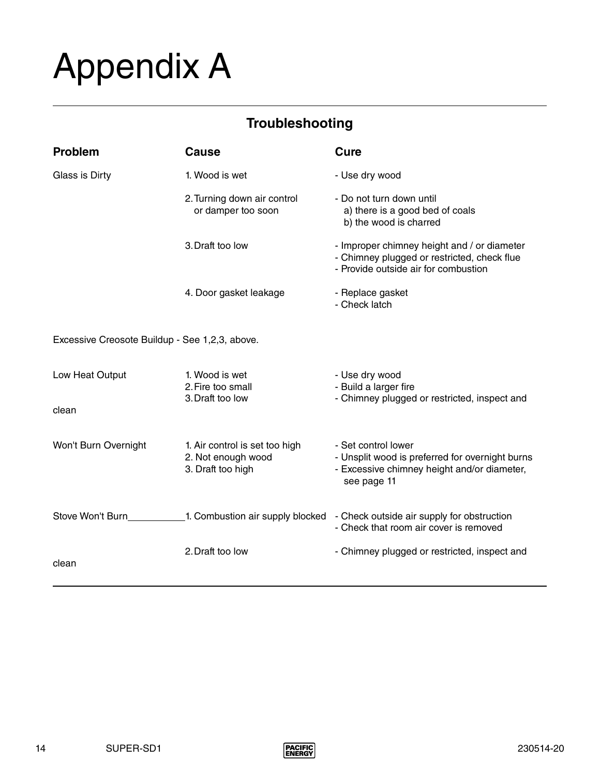# Appendix A

## **Troubleshooting**

| <b>Problem</b>                                 | <b>Cause</b>                                                              | <b>Cure</b>                                                                                                                          |
|------------------------------------------------|---------------------------------------------------------------------------|--------------------------------------------------------------------------------------------------------------------------------------|
| Glass is Dirty                                 | 1. Wood is wet                                                            | - Use dry wood                                                                                                                       |
|                                                | 2. Turning down air control<br>or damper too soon                         | - Do not turn down until<br>a) there is a good bed of coals<br>b) the wood is charred                                                |
|                                                | 3. Draft too low                                                          | - Improper chimney height and / or diameter<br>- Chimney plugged or restricted, check flue<br>- Provide outside air for combustion   |
|                                                | 4. Door gasket leakage                                                    | - Replace gasket<br>- Check latch                                                                                                    |
| Excessive Creosote Buildup - See 1,2,3, above. |                                                                           |                                                                                                                                      |
| Low Heat Output<br>clean                       | 1. Wood is wet<br>2. Fire too small<br>3. Draft too low                   | - Use dry wood<br>- Build a larger fire<br>- Chimney plugged or restricted, inspect and                                              |
|                                                |                                                                           |                                                                                                                                      |
| Won't Burn Overnight                           | 1. Air control is set too high<br>2. Not enough wood<br>3. Draft too high | - Set control lower<br>- Unsplit wood is preferred for overnight burns<br>- Excessive chimney height and/or diameter,<br>see page 11 |
| Stove Won't Burn                               | 1. Combustion air supply blocked                                          | - Check outside air supply for obstruction<br>- Check that room air cover is removed                                                 |
| clean                                          | 2. Draft too low                                                          | - Chimney plugged or restricted, inspect and                                                                                         |

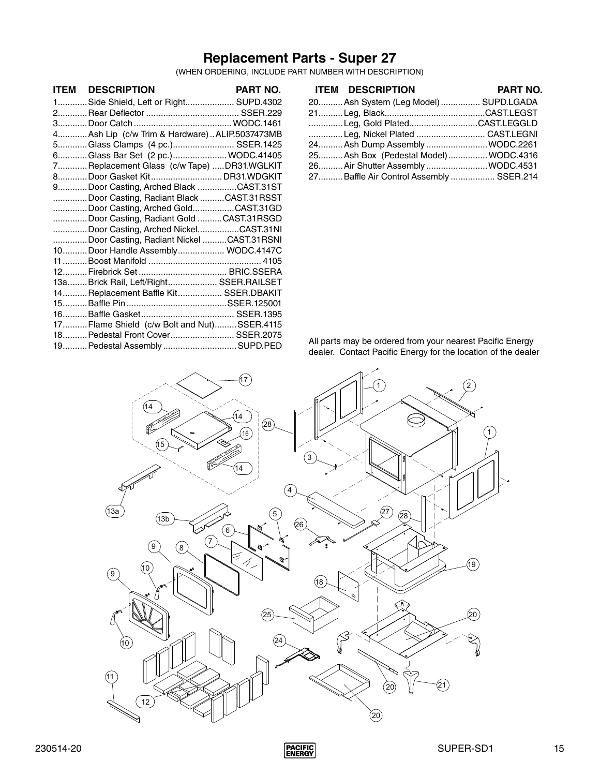### **Replacement Parts - Super 27**

(WHEN ORDERING, INCLUDE PART NUMBER WITH DESCRIPTION)

| <b>ITEM DESCRIPTION</b>                      | PART NO. |
|----------------------------------------------|----------|
| 1Side Shield, Left or Right SUPD.4302        |          |
|                                              |          |
|                                              |          |
| 4Ash Lip (c/w Trim & Hardware)ALIP.5037473MB |          |
| 5Glass Clamps (4 pc.) SSER.1425              |          |
| 6Glass Bar Set (2 pc.) WODC.41405            |          |
| 7Replacement Glass (c/w Tape) DR31.WGLKIT    |          |
| 8Door Gasket Kit DR31.WDGKIT                 |          |
| 9Door Casting, Arched Black CAST.31ST        |          |
| Door Casting, Radiant Black CAST.31RSST      |          |
| Door Casting, Arched GoldCAST.31GD           |          |
| Door Casting, Radiant Gold CAST.31RSGD       |          |
| Door Casting, Arched NickelCAST.31NI         |          |
| Door Casting, Radiant Nickel CAST.31RSNI     |          |
| 10Door Handle Assembly WODC.4147C            |          |
|                                              |          |
|                                              |          |
| 13a Brick Rail, Left/Right SSER.RAILSET      |          |
| 14 Replacement Baffle Kit SSER.DBAKIT        |          |
|                                              |          |
|                                              |          |
| 17Flame Shield (c/w Bolt and Nut)SSER.4115   |          |
| 18 Pedestal Front Cover SSER.2075            |          |
| 19Pedestal AssemblySUPD.PED                  |          |

| ITEM DESCRIPTION                             | <b>PART NO. ITEM DESCRIPTION</b>        | <b>Example 12 PART NO.</b> |
|----------------------------------------------|-----------------------------------------|----------------------------|
| 1Side Shield, Left or Right SUPD.4302        | 20Ash System (Leg Model)  SUPD.LGADA    |                            |
|                                              |                                         |                            |
|                                              | Leg, Gold PlatedCAST.LEGGLD             |                            |
| 4Ash Lip (c/w Trim & Hardware)ALIP.5037473MB | Leg, Nickel Plated  CAST.LEGNI          |                            |
| 5Glass Clamps  (4 pc.) SSER.1425             | 24Ash Dump Assembly  WODC.2261          |                            |
| 6Glass Bar Set (2 pc.)WODC.41405             | 25 Ash Box (Pedestal Model) WODC.4316   |                            |
| 7Replacement Glass  (c/w Tape) DR31.WGLKIT   | 26 Air Shutter Assembly  WODC.4531      |                            |
|                                              | 27Baffle Air Control Assembly  SSER.214 |                            |

19 ..........Pedestal Assembly ..............................SUPD.PED All parts may be ordered from your nearest Pacifi c Energy dealer. Contact Pacifi c Energy for the location of the dealer



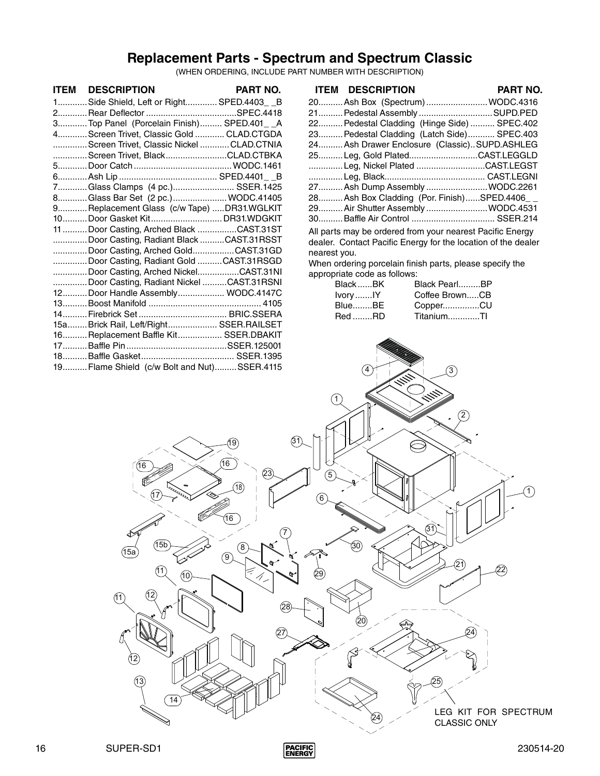### **Replacement Parts - Spectrum and Spectrum Classic**

(WHEN ORDERING, INCLUDE PART NUMBER WITH DESCRIPTION)

| <b>ITEM DESCRIPTION</b>                    | PART NO. |
|--------------------------------------------|----------|
| 1 Side Shield, Left or Right SPED.4403_ _B |          |
|                                            |          |
| 3Top Panel (Porcelain Finish) SPED.401_A   |          |
| 4 Screen Trivet, Classic Gold  CLAD.CTGDA  |          |
| Screen Trivet, Classic Nickel  CLAD.CTNIA  |          |
| Screen Trivet, BlackCLAD.CTBKA             |          |
|                                            |          |
|                                            |          |
| 7Glass Clamps (4 pc.) SSER.1425            |          |
| 8Glass Bar Set (2 pc.) WODC.41405          |          |
| 9 Replacement Glass (c/w Tape) DR31.WGLKIT |          |
| 10Door Gasket Kit DR31.WDGKIT              |          |
| 11 Door Casting, Arched Black CAST.31ST    |          |
| Door Casting, Radiant Black CAST.31RSST    |          |
| Door Casting, Arched GoldCAST.31GD         |          |
| Door Casting, Radiant Gold CAST.31RSGD     |          |
| Door Casting, Arched NickelCAST.31NI       |          |
| Door Casting, Radiant Nickel CAST.31RSNI   |          |
| 12Door Handle Assembly WODC.4147C          |          |
|                                            |          |
|                                            |          |
| 15aBrick Rail, Left/Right SSER.RAILSET     |          |
| 16 Replacement Baffle Kit SSER.DBAKIT      |          |
|                                            |          |
|                                            |          |
| 19Flame Shield (c/w Bolt and Nut)SSER.4115 |          |

### **ITEM DESCRIPTION PART NO.**

| 20Ash Box (Spectrum)WODC.4316                             |  |
|-----------------------------------------------------------|--|
| 21 Pedestal Assembly  SUPD.PED                            |  |
| 22Pedestal Cladding (Hinge Side)  SPEC.402                |  |
| 23Pedestal Cladding (Latch Side) SPEC.403                 |  |
| 24Ash Drawer Enclosure (Classic)SUPD.ASHLEG               |  |
| 25Leg, Gold PlatedCAST.LEGGLD                             |  |
| Leg, Nickel Plated CAST.LEGST                             |  |
|                                                           |  |
| 27Ash Dump Assembly WODC.2261                             |  |
| 28Ash Box Cladding (Por. Finish)SPED.4406_ _              |  |
| 29Air Shutter Assembly WODC.4531                          |  |
|                                                           |  |
| All parts may be ordered from your nearest Pacific Energy |  |

dealer. Contact Pacific Energy for the location of the dealer nearest you.

When ordering porcelain finish parts, please specify the appropriate code as follows:

| Black BK | Black PearlBP  |
|----------|----------------|
| lvery    | Coffee BrownCB |
| BlueBE   | CopperCU       |
| Red RD   | TitaniumTI     |

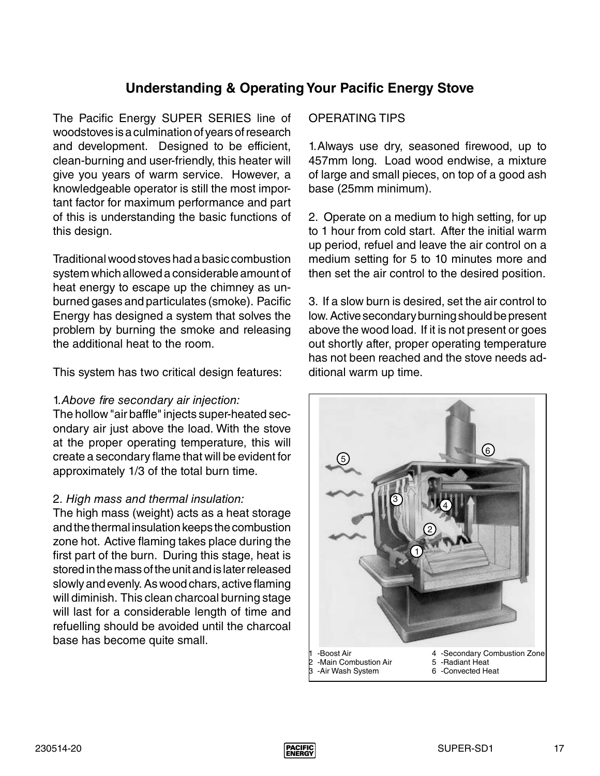### **Understanding & Operating Your Pacific Energy Stove**

The Pacific Energy SUPER SERIES line of woodstoves is a culmination of years of research and development. Designed to be efficient, clean-burning and user-friendly, this heater will give you years of warm service. However, a knowledgeable operator is still the most important factor for maximum performance and part of this is understanding the basic functions of this design.

Traditional wood stoves had a basic combustion system which allowed a considerable amount of heat energy to escape up the chimney as unburned gases and particulates (smoke). Pacific Energy has designed a system that solves the problem by burning the smoke and releasing the additional heat to the room.

This system has two critical design features:

### 1. Above fire secondary air injection:

The hollow "air baffle" injects super-heated secondary air just above the load. With the stove at the proper operating temperature, this will create a secondary flame that will be evident for approximately 1/3 of the total burn time.

### 2. High mass and thermal insulation:

The high mass (weight) acts as a heat storage and the thermal insulation keeps the combustion zone hot. Active flaming takes place during the first part of the burn. During this stage, heat is stored in the mass of the unit and is later released slowly and evenly. As wood chars, active flaming will diminish. This clean charcoal burning stage will last for a considerable length of time and refuelling should be avoided until the charcoal base has become quite small.

### OPERATING TIPS

1. Always use dry, seasoned firewood, up to 457mm long. Load wood endwise, a mixture of large and small pieces, on top of a good ash base (25mm minimum).

2. Operate on a medium to high setting, for up to 1 hour from cold start. After the initial warm up period, refuel and leave the air control on a medium setting for 5 to 10 minutes more and then set the air control to the desired position.

3. If a slow burn is desired, set the air control to low. Active secondary burning should be present above the wood load. If it is not present or goes out shortly after, proper operating temperature has not been reached and the stove needs additional warm up time.



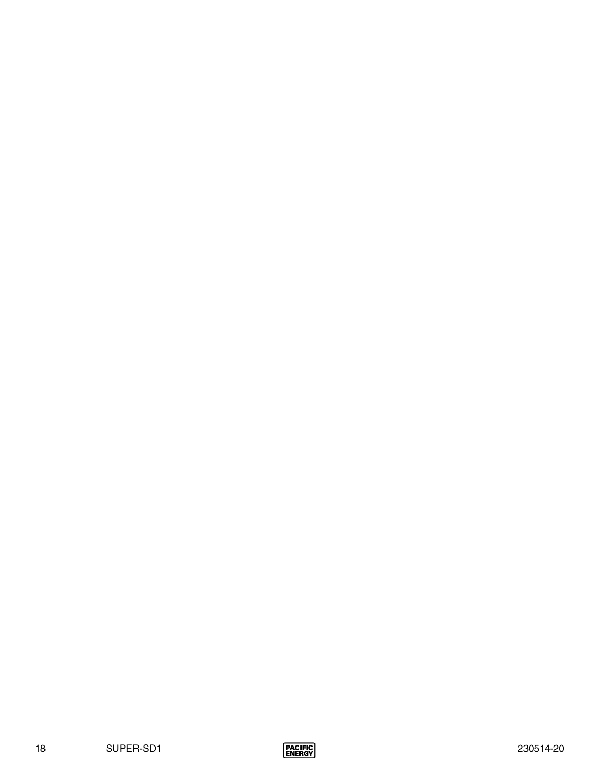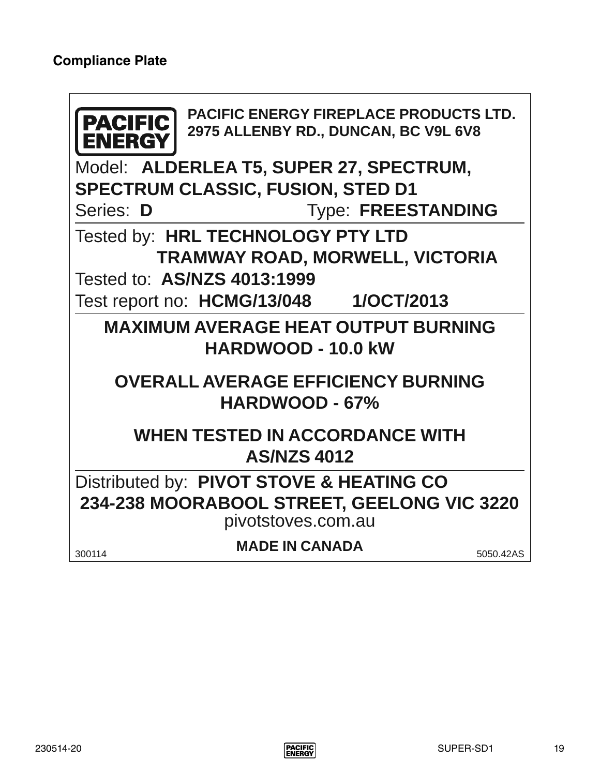